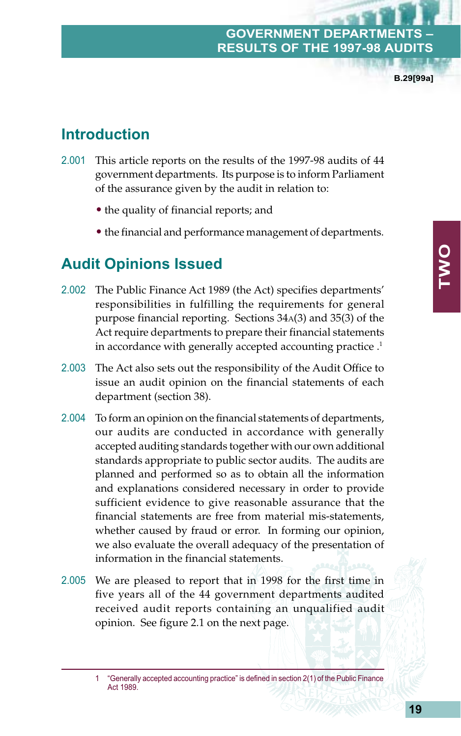#### **GOVERNMENT DEPARTMENT RESULTS OF THE 1997-98 AUD**

**B.29[99a]**

# **Introduction**

- 2.001 This article reports on the results of the 1997-98 audits of 44 government departments. Its purpose is to inform Parliament of the assurance given by the audit in relation to:
	- the quality of financial reports; and
	- the financial and performance management of departments.

## **Audit Opinions Issued**

- 2.002 The Public Finance Act 1989 (the Act) specifies departments' responsibilities in fulfilling the requirements for general purpose financial reporting. Sections 34A(3) and 35(3) of the Act require departments to prepare their financial statements in accordance with generally accepted accounting practice.<sup>1</sup>
- 2.003 The Act also sets out the responsibility of the Audit Office to issue an audit opinion on the financial statements of each department (section 38).
- 2.004 To form an opinion on the financial statements of departments, our audits are conducted in accordance with generally accepted auditing standards together with our own additional standards appropriate to public sector audits. The audits are planned and performed so as to obtain all the information and explanations considered necessary in order to provide sufficient evidence to give reasonable assurance that the financial statements are free from material mis-statements, whether caused by fraud or error. In forming our opinion, we also evaluate the overall adequacy of the presentation of information in the financial statements.
- 2.005 We are pleased to report that in 1998 for the first time in five years all of the 44 government departments audited received audit reports containing an unqualified audit opinion. See figure 2.1 on the next page.

<sup>1 &</sup>quot;Generally accepted accounting practice" is defined in section 2(1) of the Public Finance Act 1989.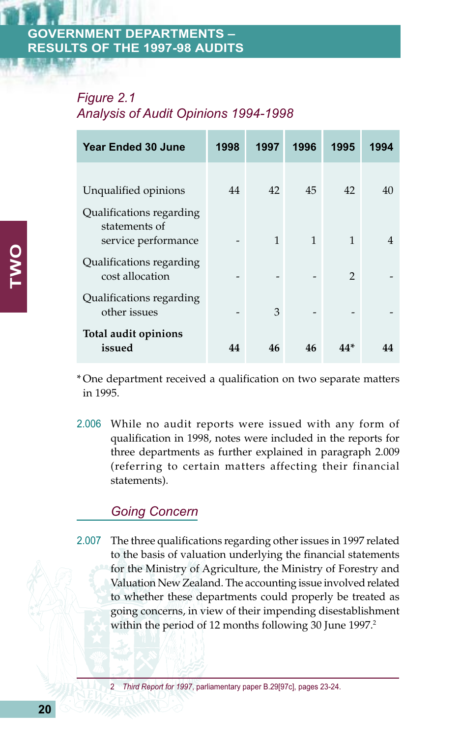#### **ERNMENT DEPARTMENTS – RESULTS OF THE 1997-98 AUDITS**

#### *Figure 2.1 Analysis of Audit Opinions 1994-1998*

| <b>Year Ended 30 June</b>                                        | 1998 | 1997 | 1996 | 1995           | 1994 |
|------------------------------------------------------------------|------|------|------|----------------|------|
| Unqualified opinions                                             | 44   | 42   | 45   | 42             | 40   |
| Qualifications regarding<br>statements of<br>service performance |      | 1    | 1    | 1              |      |
| Qualifications regarding<br>cost allocation                      |      |      |      | $\overline{2}$ |      |
| Qualifications regarding<br>other issues                         |      | 3    |      |                |      |
| Total audit opinions<br>issued                                   | 44   | 46   | 46   | 44*            |      |

\* One department received a qualification on two separate matters in 1995.

2.006 While no audit reports were issued with any form of qualification in 1998, notes were included in the reports for three departments as further explained in paragraph 2.009 (referring to certain matters affecting their financial statements).

#### *Going Concern*

2.007 The three qualifications regarding other issues in 1997 related to the basis of valuation underlying the financial statements for the Ministry of Agriculture, the Ministry of Forestry and Valuation New Zealand. The accounting issue involved related to whether these departments could properly be treated as going concerns, in view of their impending disestablishment within the period of 12 months following 30 June 1997.<sup>2</sup>

2 *Third Report for 1997*, parliamentary paper B.29[97c], pages 23-24.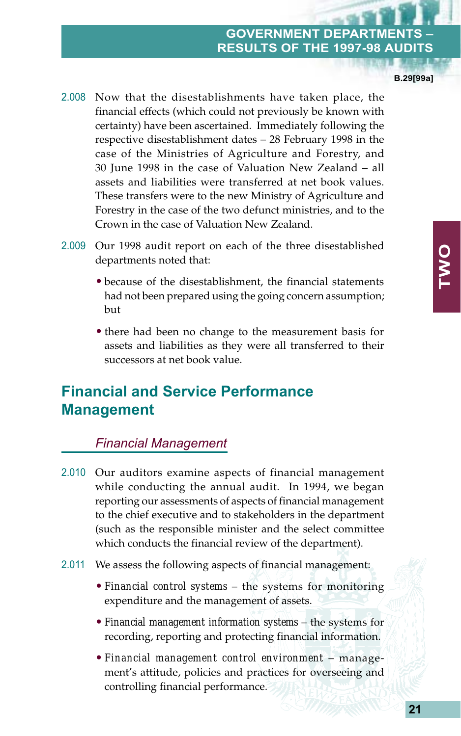#### **GOVERNMENT DEPARTMENT RESULTS OF THE 1997-98 AUD**

**B.29[99a]**

- 2.008 Now that the disestablishments have taken place, the financial effects (which could not previously be known with certainty) have been ascertained. Immediately following the respective disestablishment dates – 28 February 1998 in the case of the Ministries of Agriculture and Forestry, and 30 June 1998 in the case of Valuation New Zealand – all assets and liabilities were transferred at net book values. These transfers were to the new Ministry of Agriculture and Forestry in the case of the two defunct ministries, and to the Crown in the case of Valuation New Zealand.
- 2.009 Our 1998 audit report on each of the three disestablished departments noted that:
	- because of the disestablishment, the financial statements had not been prepared using the going concern assumption; but
	- there had been no change to the measurement basis for assets and liabilities as they were all transferred to their successors at net book value.

# **Financial and Service Performance Management**

#### *Financial Management*

- 2.010 Our auditors examine aspects of financial management while conducting the annual audit. In 1994, we began reporting our assessments of aspects of financial management to the chief executive and to stakeholders in the department (such as the responsible minister and the select committee which conducts the financial review of the department).
- 2.011 We assess the following aspects of financial management:
	- *Financial control systems* the systems for monitoring expenditure and the management of assets.
	- *Financial management information systems* the systems for recording, reporting and protecting financial information.
	- *Financial management control environment* management's attitude, policies and practices for overseeing and controlling financial performance.

**TWO**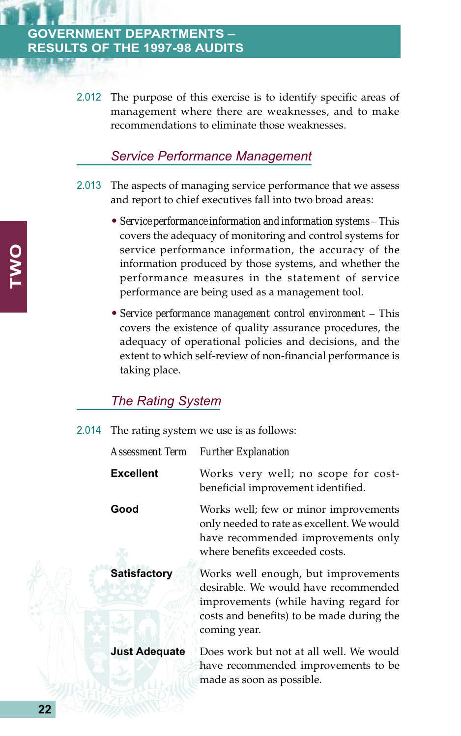#### **GOVERNMENT DEPARTMENTS – RESULTS OF THE 1997-98 AUDITS**

2.012 The purpose of this exercise is to identify specific areas of management where there are weaknesses, and to make recommendations to eliminate those weaknesses.

#### *Service Performance Management*

- 2.013 The aspects of managing service performance that we assess and report to chief executives fall into two broad areas:
	- *Service performance information and information systems* This covers the adequacy of monitoring and control systems for service performance information, the accuracy of the information produced by those systems, and whether the performance measures in the statement of service performance are being used as a management tool.
	- *Service performance management control environment* This covers the existence of quality assurance procedures, the adequacy of operational policies and decisions, and the extent to which self-review of non-financial performance is taking place.

#### *The Rating System*

|  | 2.014 The rating system we use is as follows: |  |  |  |  |  |  |
|--|-----------------------------------------------|--|--|--|--|--|--|
|--|-----------------------------------------------|--|--|--|--|--|--|

#### *Assessment Term Further Explanation*

**Excellent** Works very well; no scope for costbeneficial improvement identified. **Good** Works well; few or minor improvements only needed to rate as excellent. We would have recommended improvements only where benefits exceeded costs. **Satisfactory** Works well enough, but improvements desirable. We would have recommended improvements (while having regard for costs and benefits) to be made during the coming year. **Just Adequate** Does work but not at all well. We would have recommended improvements to be made as soon as possible.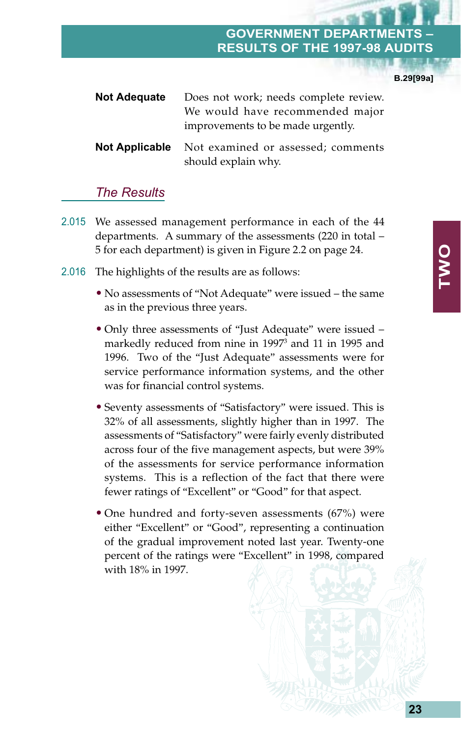#### **GOVERNMENT DEPA RESULTS OF THE 1997-98 AUD**

**B.29[99a]**

| <b>Not Adequate</b> | Does not work; needs complete review.                                           |  |  |  |  |
|---------------------|---------------------------------------------------------------------------------|--|--|--|--|
|                     | We would have recommended major<br>improvements to be made urgently.            |  |  |  |  |
|                     | <b>Not Applicable</b> Not examined or assessed; comments<br>should explain why. |  |  |  |  |

#### *The Results*

- 2.015 We assessed management performance in each of the 44 departments. A summary of the assessments (220 in total – 5 for each department) is given in Figure 2.2 on page 24.
- 2.016 The highlights of the results are as follows:
	- No assessments of "Not Adequate" were issued the same as in the previous three years.
	- Only three assessments of "Just Adequate" were issued markedly reduced from nine in 1997<sup>3</sup> and 11 in 1995 and 1996. Two of the "Just Adequate" assessments were for service performance information systems, and the other was for financial control systems.
	- Seventy assessments of "Satisfactory" were issued. This is 32% of all assessments, slightly higher than in 1997. The assessments of "Satisfactory" were fairly evenly distributed across four of the five management aspects, but were 39% of the assessments for service performance information systems. This is a reflection of the fact that there were fewer ratings of "Excellent" or "Good" for that aspect.
	- One hundred and forty-seven assessments (67%) were either "Excellent" or "Good", representing a continuation of the gradual improvement noted last year. Twenty-one percent of the ratings were "Excellent" in 1998, compared with 18% in 1997.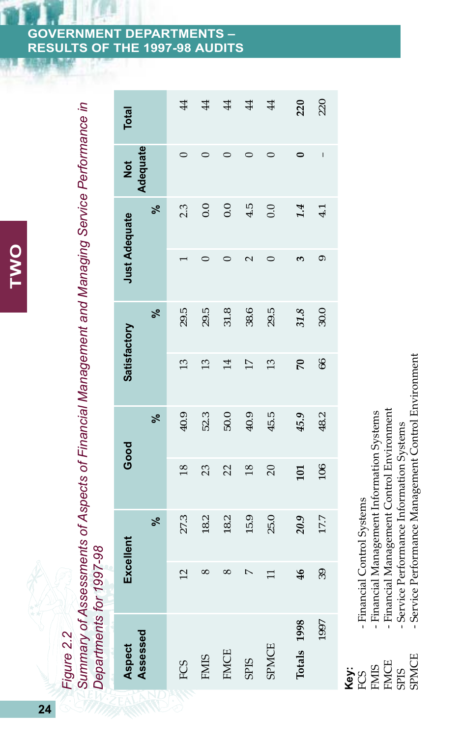# **TWO**

|                                                                                               | <b>Total</b>         |          | $\ddot{4}$     | $\ddot{4}$     | 4               | $\sharp$        | $\sharp$       | 220            | 220                                                                                                                                                                                                                                                                                                                                                                              |
|-----------------------------------------------------------------------------------------------|----------------------|----------|----------------|----------------|-----------------|-----------------|----------------|----------------|----------------------------------------------------------------------------------------------------------------------------------------------------------------------------------------------------------------------------------------------------------------------------------------------------------------------------------------------------------------------------------|
|                                                                                               | Not                  | Adequate |                | ⊂              | ○               | 0               | 0              | 0              | $\begin{array}{c} \rule{0pt}{2.5ex} \rule{0pt}{2.5ex} \rule{0pt}{2.5ex} \rule{0pt}{2.5ex} \rule{0pt}{2.5ex} \rule{0pt}{2.5ex} \rule{0pt}{2.5ex} \rule{0pt}{2.5ex} \rule{0pt}{2.5ex} \rule{0pt}{2.5ex} \rule{0pt}{2.5ex} \rule{0pt}{2.5ex} \rule{0pt}{2.5ex} \rule{0pt}{2.5ex} \rule{0pt}{2.5ex} \rule{0pt}{2.5ex} \rule{0pt}{2.5ex} \rule{0pt}{2.5ex} \rule{0pt}{2.5ex} \rule{0$ |
|                                                                                               | <b>Just Adequate</b> | వ్       | 2.3            | 0.0            | 0.0             | 4.5             | 0.0            | 1.4            | 4.1                                                                                                                                                                                                                                                                                                                                                                              |
|                                                                                               |                      |          |                | ⊂              | $\circ$         | $\mathbf{\sim}$ | 0              | 3              | ග                                                                                                                                                                                                                                                                                                                                                                                |
| Summary of Assessments of Aspects of Financial Management and Managing Service Performance in |                      | వ్       | 29.5           | 29.5           | 31.8            | 38.6            | 29.5           | 31.8           | 30.0                                                                                                                                                                                                                                                                                                                                                                             |
|                                                                                               | <b>Satisfactory</b>  |          | $\mathfrak{L}$ | $\mathfrak{L}$ | $\overline{14}$ | $\overline{17}$ | $\mathfrak{L}$ | $\mathcal{L}$  | 66                                                                                                                                                                                                                                                                                                                                                                               |
|                                                                                               | Good                 | ೢೕ       | 40.9           | 52.3           | 50.0            | 40.9            | 45.5           | 45.9           | 48.2                                                                                                                                                                                                                                                                                                                                                                             |
|                                                                                               |                      |          | $\frac{8}{2}$  | 23             | $\overline{2}$  | $\frac{8}{2}$   | $\overline{C}$ | 101            | 106                                                                                                                                                                                                                                                                                                                                                                              |
|                                                                                               | ೢೕ                   |          | 27.3           | 18.2           | 18.2            | 15.9            | 25.0           | 20.9           | 177                                                                                                                                                                                                                                                                                                                                                                              |
|                                                                                               | Excellent            |          | $\overline{c}$ | $\infty$       | $^{\circ}$      | $\overline{a}$  | $\Box$         | $\frac{46}{5}$ | 39                                                                                                                                                                                                                                                                                                                                                                               |
| Departments for 1997-98<br>Figure 2.2                                                         | <b>Aspect</b>        | Assessed | FCS            | <b>FMIS</b>    | <b>FMCE</b>     | <b>SPIS</b>     | <b>SPMCE</b>   | Totals 1998    | 1997                                                                                                                                                                                                                                                                                                                                                                             |

# **Key:**<br>FCS<br>FMIS<br>FMCE<br>ENCE<br>SPMCE<br>SPMCE

- Financial Control Systems FCS - Financial Control Systems
- Financial Management Information Systems FMIS - Financial Management Information Systems
- Financial Management Control Environment FMCE - Financial Management Control Environment
	- Service Performance Information Systems SPIS - Service Performance Information Systems
- Service Performance Management Control Environment SPMCE - Service Performance Management Control Environment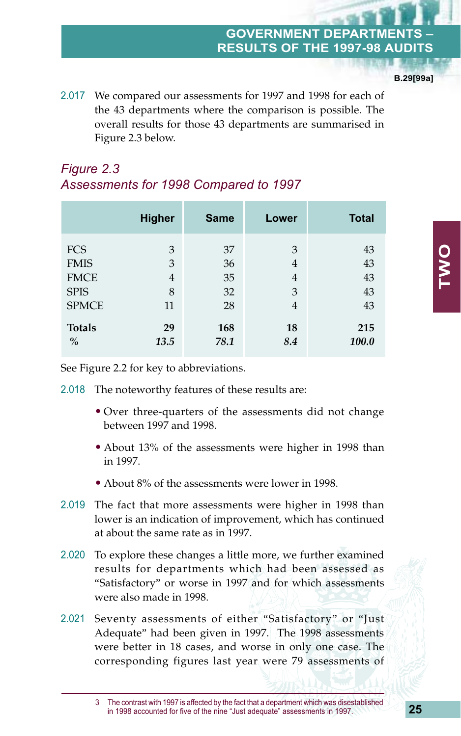#### **GOVERNMENT DEPAR RESULTS OF THE 1997-98 AUDITS**

**B.29[99a]**

2.017 We compared our assessments for 1997 and 1998 for each of the 43 departments where the comparison is possible. The overall results for those 43 departments are summarised in Figure 2.3 below.

### *Figure 2.3 Assessments for 1998 Compared to 1997*

|               | <b>Higher</b>  | <b>Same</b> | Lower          | <b>Total</b> |
|---------------|----------------|-------------|----------------|--------------|
| <b>FCS</b>    | 3              | 37          | 3              | 43           |
| <b>FMIS</b>   | 3              | 36          | $\overline{4}$ | 43           |
| <b>FMCE</b>   | $\overline{4}$ | 35          | 4              | 43           |
| <b>SPIS</b>   | 8              | 32          | 3              | 43           |
| <b>SPMCE</b>  | 11             | 28          | 4              | 43           |
| <b>Totals</b> | 29             | 168         | 18             | 215          |
| $\%$          | 13.5           | 78.1        | 8.4            | <b>100.0</b> |

See Figure 2.2 for key to abbreviations.

- 2.018 The noteworthy features of these results are:
	- Over three-quarters of the assessments did not change between 1997 and 1998.
	- About 13% of the assessments were higher in 1998 than in 1997.
	- About 8% of the assessments were lower in 1998.
- 2.019 The fact that more assessments were higher in 1998 than lower is an indication of improvement, which has continued at about the same rate as in 1997.
- 2.020 To explore these changes a little more, we further examined results for departments which had been assessed as "Satisfactory" or worse in 1997 and for which assessments were also made in 1998.
- 2.021 Seventy assessments of either "Satisfactory" or "Just Adequate" had been given in 1997. The 1998 assessments were better in 18 cases, and worse in only one case. The corresponding figures last year were 79 assessments of

<sup>3</sup> The contrast with 1997 is affected by the fact that a department which was disestablished in 1998 accounted for five of the nine "Just adequate" assessments in 1997.